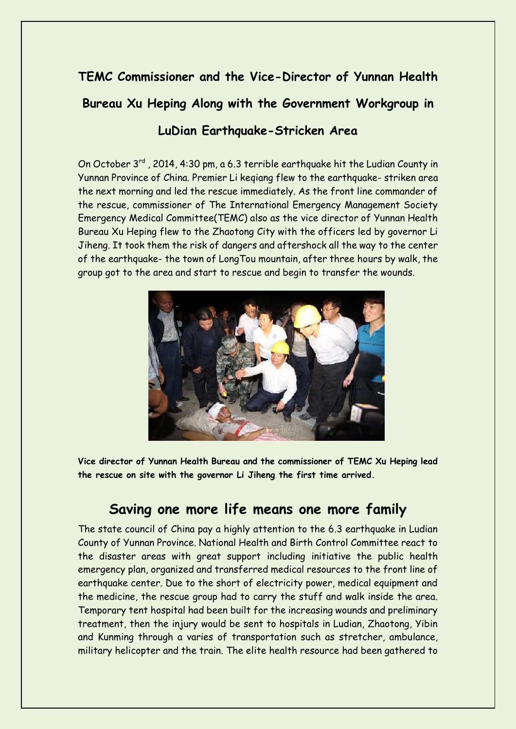# **TEMC Commissioner and the Vice-Director of Yunnan Health Bureau Xu Heping Along with the Government Workgroup in LuDian Earthquake-Stricken Area**

On October 3rd , 2014, 4:30 pm, a 6.3 terrible earthquake hit the Ludian County in Yunnan Province of China. Premier Li keqiang flew to the earthquake- striken area the next morning and led the rescue immediately. As the front line commander of the rescue, commissioner of The International Emergency Management Society Emergency Medical Committee(TEMC) also as the vice director of Yunnan Health Bureau Xu Heping flew to the Zhaotong City with the officers led by governor Li Jiheng. It took them the risk of dangers and aftershock all the way to the center of the earthquake- the town of LongTou mountain, after three hours by walk, the group got to the area and start to rescue and begin to transfer the wounds.



**Vice director of Yunnan Health Bureau and the commissioner of TEMC Xu Heping lead the rescue on site with the governor Li Jiheng the first time arrived.** 

## **Saving one more life means one more family**

The state council of China pay a highly attention to the 6.3 earthquake in Ludian County of Yunnan Province. National Health and Birth Control Committee react to the disaster areas with great support including initiative the public health emergency plan, organized and transferred medical resources to the front line of earthquake center. Due to the short of electricity power, medical equipment and the medicine, the rescue group had to carry the stuff and walk inside the area. Temporary tent hospital had been built for the increasing wounds and preliminary treatment, then the injury would be sent to hospitals in Ludian, Zhaotong, Yibin and Kunming through a varies of transportation such as stretcher, ambulance, military helicopter and the train. The elite health resource had been gathered to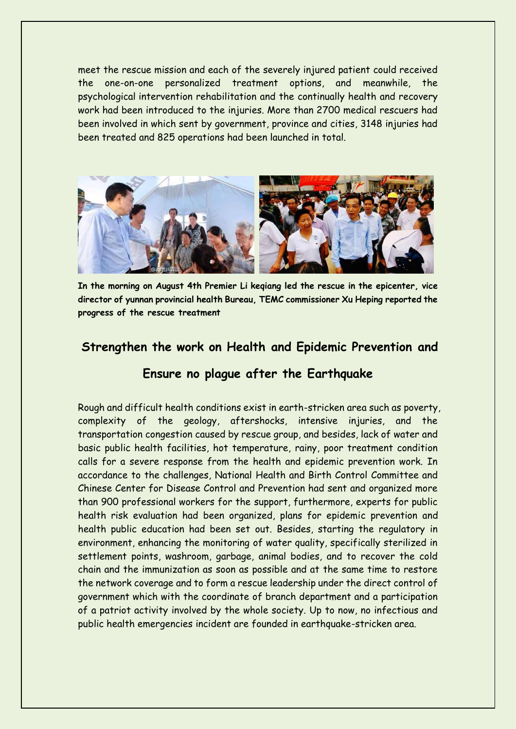meet the rescue mission and each of the severely injured patient could received the one-on-one personalized treatment options, and meanwhile, the psychological intervention rehabilitation and the continually health and recovery work had been introduced to the injuries. More than 2700 medical rescuers had been involved in which sent by government, province and cities, 3148 injuries had been treated and 825 operations had been launched in total.



**In the morning on August 4th Premier Li keqiang led the rescue in the epicenter, vice director of yunnan provincial health Bureau, TEMC commissioner Xu Heping reported the progress of the rescue treatment**

### **Strengthen the work on Health and Epidemic Prevention and**

### **Ensure no plague after the Earthquake**

Rough and difficult health conditions exist in earth-stricken area such as poverty, complexity of the geology, aftershocks, intensive injuries, and the transportation congestion caused by rescue group, and besides, lack of water and basic public health facilities, hot temperature, rainy, poor treatment condition calls for a severe response from the health and epidemic prevention work. In accordance to the challenges, National Health and Birth Control Committee and Chinese Center for Disease Control and Prevention had sent and organized more than 900 professional workers for the support, furthermore, experts for public health risk evaluation had been organized, plans for epidemic prevention and health public education had been set out. Besides, starting the regulatory in environment, enhancing the monitoring of water quality, specifically sterilized in settlement points, washroom, garbage, animal bodies, and to recover the cold chain and the immunization as soon as possible and at the same time to restore the network coverage and to form a rescue leadership under the direct control of government which with the coordinate of branch department and a participation of a patriot activity involved by the whole society. Up to now, no infectious and public health emergencies incident are founded in earthquake-stricken area.